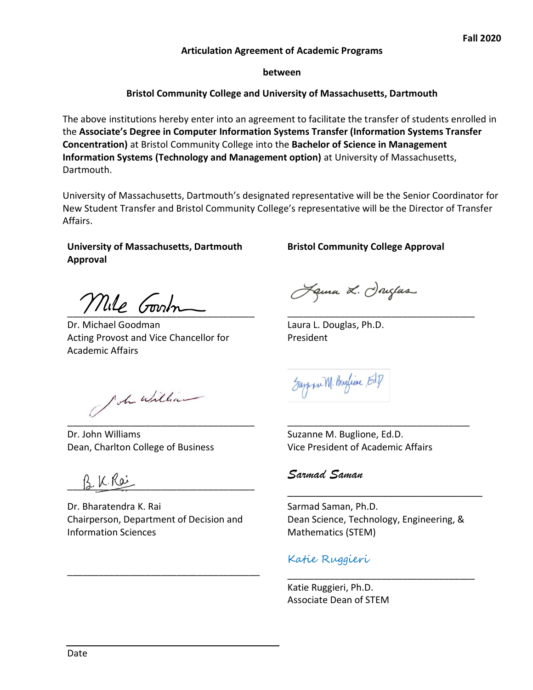#### **Articulation Agreement of Academic Programs**

**between**

### **Bristol Community College and University of Massachusetts, Dartmouth**

The above institutions hereby enter into an agreement to facilitate the transfer of students enrolled in the **AƐƐŽciaƚe͛Ɛ Degƌee in Computer Information Systems Transfer (Information Systems Transfer Concentration)** at Bristol Community College into the **Bachelor of Science in Management Information Systems (Technology and Management option)** at University of Massachusetts, Dartmouth.

University of Massachusetts, Dartmouth's designated representative will be the Senior Coordinator for New Student Transfer and Bristol Community College's representative will be the Director of Transfer Affairs.

 $\overline{\phantom{a}}$  , and the contract of the contract of the contract of the contract of the contract of the contract of the contract of the contract of the contract of the contract of the contract of the contract of the contrac

### **University of Massachusetts, Dartmouth Approval**

 $\frac{1}{2}$ 

Dr. Michael Goodman Acting Provost and Vice Chancellor for Academic Affairs

Ich william

Dr. John Williams Dean, Charlton College of Business

B.K.Roi

Dr. Bharatendra K. Rai Chairperson, Department of Decision and Information Sciences

\_\_\_\_\_\_\_\_\_\_\_\_\_\_\_\_\_\_\_\_\_\_\_\_\_\_\_\_\_\_\_\_\_\_\_\_\_

### **Bristol Community College Approval**

Jama L. Jouztas

Laura L. Douglas, Ph.D. President

Support M. Burlion Ed.]

Suzanne M. Buglione, Ed.D. Vice President of Academic Affairs

## Sarmad Saman

Sarmad Saman, Ph.D. Dean Science, Technology, Engineering, & Mathematics (STEM)

\_\_\_\_\_\_\_\_\_\_\_\_\_\_\_\_\_\_\_\_\_\_\_\_\_\_\_\_\_\_\_\_\_\_\_\_

\_\_\_\_\_\_\_\_\_\_\_\_\_\_\_\_\_\_\_\_\_\_\_\_\_\_\_\_

## Katie Ruggieri

Katie Ruggieri, Ph.D. Associate Dean of STEM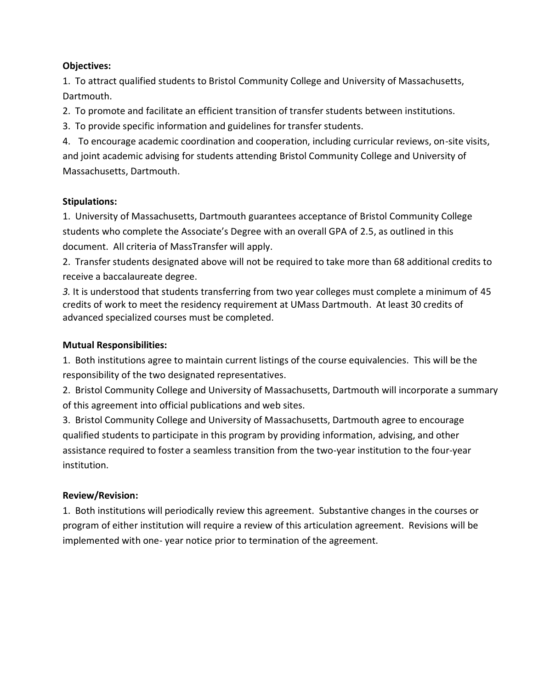### **Objectives:**

1. To attract qualified students to Bristol Community College and University of Massachusetts, Dartmouth.

2. To promote and facilitate an efficient transition of transfer students between institutions.

3. To provide specific information and guidelines for transfer students.

4. To encourage academic coordination and cooperation, including curricular reviews, on-site visits, and joint academic advising for students attending Bristol Community College and University of Massachusetts, Dartmouth.

## **Stipulations:**

1. University of Massachusetts, Dartmouth guarantees acceptance of Bristol Community College students who complete the Associate's Degree with an overall GPA of 2.5, as outlined in this document. All criteria of MassTransfer will apply.

2. Transfer students designated above will not be required to take more than 68 additional credits to receive a baccalaureate degree.

*3.* It is understood that students transferring from two year colleges must complete a minimum of 45 credits of work to meet the residency requirement at UMass Dartmouth. At least 30 credits of advanced specialized courses must be completed.

# **Mutual Responsibilities:**

1. Both institutions agree to maintain current listings of the course equivalencies. This will be the responsibility of the two designated representatives.

2. Bristol Community College and University of Massachusetts, Dartmouth will incorporate a summary of this agreement into official publications and web sites.

3. Bristol Community College and University of Massachusetts, Dartmouth agree to encourage qualified students to participate in this program by providing information, advising, and other assistance required to foster a seamless transition from the two-year institution to the four-year institution.

## **Review/Revision:**

1. Both institutions will periodically review this agreement. Substantive changes in the courses or program of either institution will require a review of this articulation agreement. Revisions will be implemented with one- year notice prior to termination of the agreement.